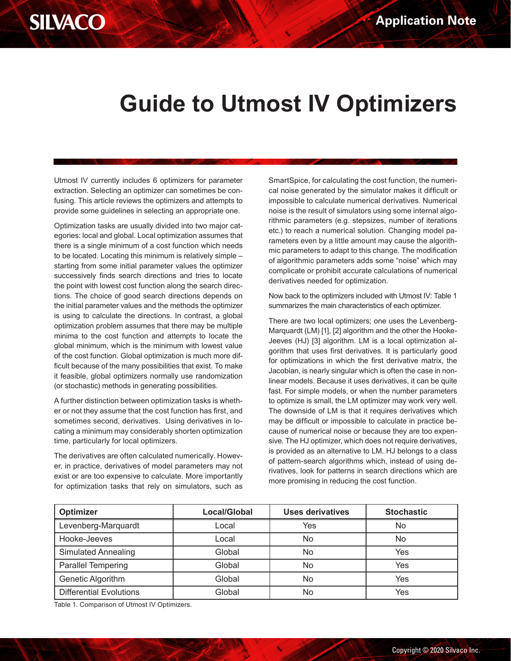## **SILVACO**

## **Guide to Utmost IV Optimizers**

Utmost IV currently includes 6 optimizers for parameter extraction. Selecting an optimizer can sometimes be confusing. This article reviews the optimizers and attempts to provide some guidelines in selecting an appropriate one.

Optimization tasks are usually divided into two major categories: local and global. Local optimization assumes that there is a single minimum of a cost function which needs to be located. Locating this minimum is relatively simple – starting from some initial parameter values the optimizer successively finds search directions and tries to locate the point with lowest cost function along the search directions. The choice of good search directions depends on the initial parameter values and the methods the optimizer is using to calculate the directions. In contrast, a global optimization problem assumes that there may be multiple minima to the cost function and attempts to locate the global minimum, which is the minimum with lowest value of the cost function. Global optimization is much more difficult because of the many possibilities that exist. To make it feasible, global optimizers normally use randomization (or stochastic) methods in generating possibilities.

A further distinction between optimization tasks is whether or not they assume that the cost function has first, and sometimes second, derivatives. Using derivatives in locating a minimum may considerably shorten optimization time, particularly for local optimizers.

The derivatives are often calculated numerically. However, in practice, derivatives of model parameters may not exist or are too expensive to calculate. More importantly for optimization tasks that rely on simulators, such as

SmartSpice, for calculating the cost function, the numerical noise generated by the simulator makes it difficult or impossible to calculate numerical derivatives. Numerical noise is the result of simulators using some internal algorithmic parameters (e.g. stepsizes, number of iterations etc.) to reach a numerical solution. Changing model parameters even by a little amount may cause the algorithmic parameters to adapt to this change. The modification of algorithmic parameters adds some "noise" which may complicate or prohibit accurate calculations of numerical derivatives needed for optimization.

Now back to the optimizers included with Utmost IV: Table 1 summarizes the main characteristics of each optimizer.

There are two local optimizers; one uses the Levenberg-Marquardt (LM) [1], [2] algorithm and the other the Hooke-Jeeves (HJ) [3] algorithm. LM is a local optimization algorithm that uses first derivatives. It is particularly good for optimizations in which the first derivative matrix, the Jacobian, is nearly singular which is often the case in nonlinear models. Because it uses derivatives, it can be quite fast. For simple models, or when the number parameters to optimize is small, the LM optimizer may work very well. The downside of LM is that it requires derivatives which may be difficult or impossible to calculate in practice because of numerical noise or because they are too expensive. The HJ optimizer, which does not require derivatives, is provided as an alternative to LM. HJ belongs to a class of pattern-search algorithms which, instead of using derivatives, look for patterns in search directions which are more promising in reducing the cost function.

| Optimizer                      | Local/Global | <b>Uses derivatives</b> | <b>Stochastic</b> |
|--------------------------------|--------------|-------------------------|-------------------|
| Levenberg-Marquardt            | Local        | Yes                     | No                |
| Hooke-Jeeves                   | Local        | No.                     | No                |
| <b>Simulated Annealing</b>     | Global       | No                      | Yes               |
| <b>Parallel Tempering</b>      | Global       | No                      | Yes               |
| Genetic Algorithm              | Global       | <b>No</b>               | Yes               |
| <b>Differential Evolutions</b> | Global       | No                      | Yes               |

Table 1. Comparison of Utmost IV Optimizers.<br>2020 Table 1. Comparison of Utmost IV Optimizers.<br>2020 Table 1. Copyright © 2020 Table 1. Copyright © 2020 Table 1. Copyright © 2020